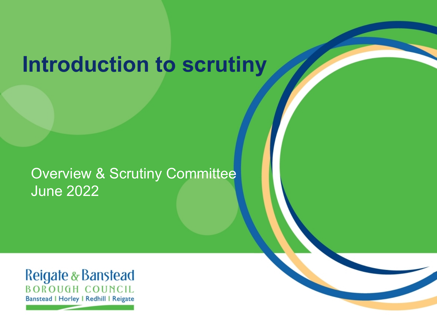## **Introduction to scrutiny**

### Overview & Scrutiny Committee June 2022

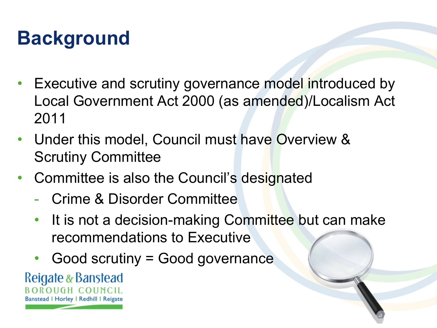## **Background**

- Executive and scrutiny governance model introduced by Local Government Act 2000 (as amended)/Localism Act 2011
- Under this model, Council must have Overview & Scrutiny Committee
- Committee is also the Council's designated
	- Crime & Disorder Committee
	- It is not a decision-making Committee but can make recommendations to Executive
	- Good scrutiny = Good governance

Reigate & Banstead BOROUGH COUNCIL Banstead | Horley | Redhill | Reigate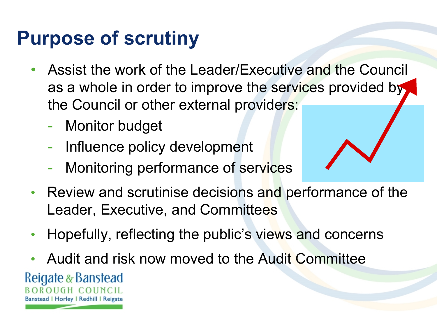### **Purpose of scrutiny**

- Assist the work of the Leader/Executive and the Council as a whole in order to improve the services provided by the Council or other external providers:
	- Monitor budget
	- Influence policy development
	- Monitoring performance of services
- Review and scrutinise decisions and performance of the Leader, Executive, and Committees
- Hopefully, reflecting the public's views and concerns
- Audit and risk now moved to the Audit Committee

Reigate & Banstead HGH COHNCH Banstead | Horley | Redhill | Reigate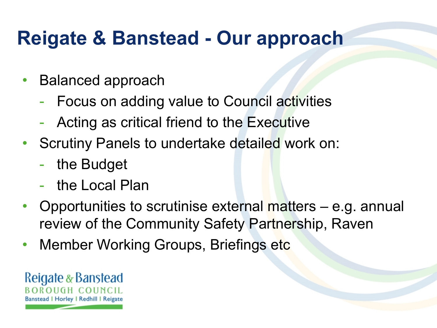### **Reigate & Banstead - Our approach**

- Balanced approach
	- Focus on adding value to Council activities
	- Acting as critical friend to the Executive
- Scrutiny Panels to undertake detailed work on:
	- the Budget
	- the Local Plan
- Opportunities to scrutinise external matters e.g. annual review of the Community Safety Partnership, Raven
- Member Working Groups, Briefings etc

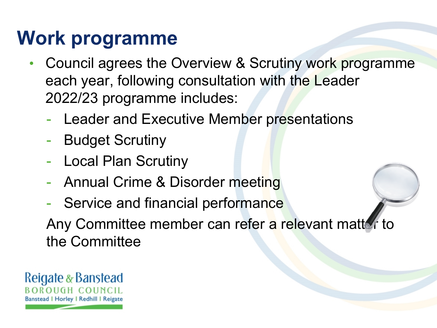## **Work programme**

- Council agrees the Overview & Scrutiny work programme each year, following consultation with the Leader 2022/23 programme includes:
	- Leader and Executive Member presentations
	- **Budget Scrutiny**
	- Local Plan Scrutiny
	- Annual Crime & Disorder meeting
	- Service and financial performance

Any Committee member can refer a relevant matter to the Committee

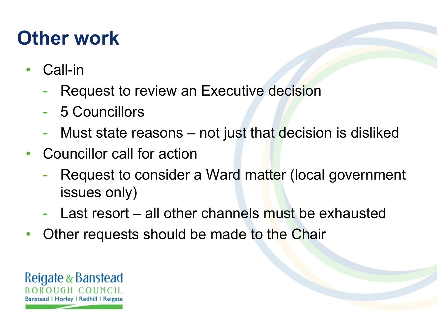### **Other work**

- Call-in
	- Request to review an Executive decision
	- 5 Councillors
	- Must state reasons not just that decision is disliked
- Councillor call for action
	- Request to consider a Ward matter (local government issues only)
	- Last resort all other channels must be exhausted
- Other requests should be made to the Chair

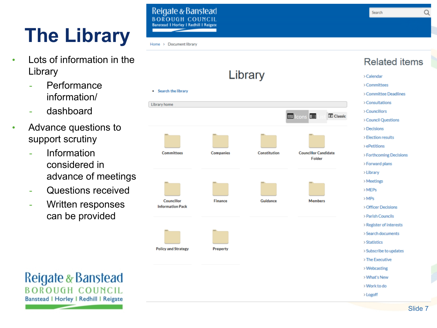## **The Library**

- Lots of information in the Library
	- **Performance** information/
	- dashboard
- Advance questions to support scrutiny
	- **Information** considered in advance of meetings
	- Questions received
	- Written responses can be provided

Reigate & Banstead **BOROHGH COUNCH Banstead I Horley I Redhill I Reigat** 

Q

#### Home > Document library



### **Related items**

- > Calendar
- >Committees
- > Committee Deadlines
- > Consultations
- > Councillors
- > Council Questions
- $\gt$  Decisions
- > Election results
- > ePetitions
- > Forthcoming Decisions
- > Forward plans
- >Library
- >Meetings
- $>$ MEPs
- $>MPs$
- > Officer Decisions
- > Parish Councils
- > Register of interests
- > Search documents
- > Statistics
- > Subscribe to updates
- > The Executive
- >Webcasting
- > What's New
- > Work to do
- > Logoff

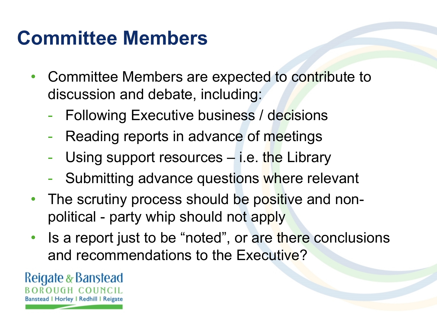### **Committee Members**

- Committee Members are expected to contribute to discussion and debate, including:
	- Following Executive business / decisions
	- Reading reports in advance of meetings
	- Using support resources i.e. the Library
	- Submitting advance questions where relevant
- The scrutiny process should be positive and nonpolitical - party whip should not apply
- Is a report just to be "noted", or are there conclusions and recommendations to the Executive?

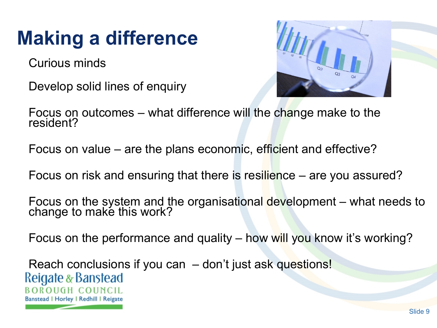## **Making a difference**

Curious minds

Develop solid lines of enquiry



Focus on outcomes – what difference will the change make to the resident?

Focus on value – are the plans economic, efficient and effective?

Focus on risk and ensuring that there is resilience – are you assured?

Focus on the system and the organisational development – what needs to change to make this work?

Focus on the performance and quality – how will you know it's working?

Reach conclusions if you can – don't just ask questions! Reigate & Banstead **BOROUGH COUNCIL** Banstead | Horley | Redhill | Reigate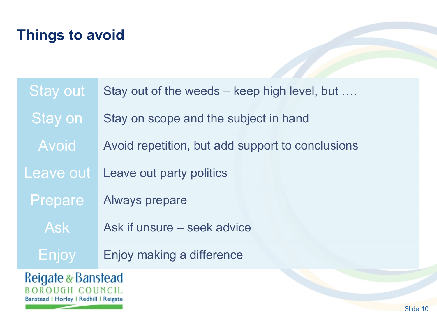### **Things to avoid**

| <b>Stay out</b> | Stay out of the weeds – keep high level, but     |
|-----------------|--------------------------------------------------|
| Stay on         | Stay on scope and the subject in hand            |
| Avoid           | Avoid repetition, but add support to conclusions |
| Leave out       | Leave out party politics                         |
| Prepare         | <b>Always prepare</b>                            |
| <b>Ask</b>      | Ask if unsure – seek advice                      |
| Enjoy           | Enjoy making a difference                        |
|                 |                                                  |

### Reigate & Banstead Banstead | Horley | Redhill | Reigate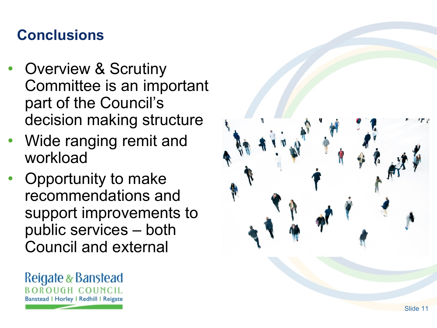### **Conclusions**

- Overview & Scrutiny Committee is an important part of the Council's decision making structure
- Wide ranging remit and workload
- Opportunity to make recommendations and support improvements to public services – both Council and external